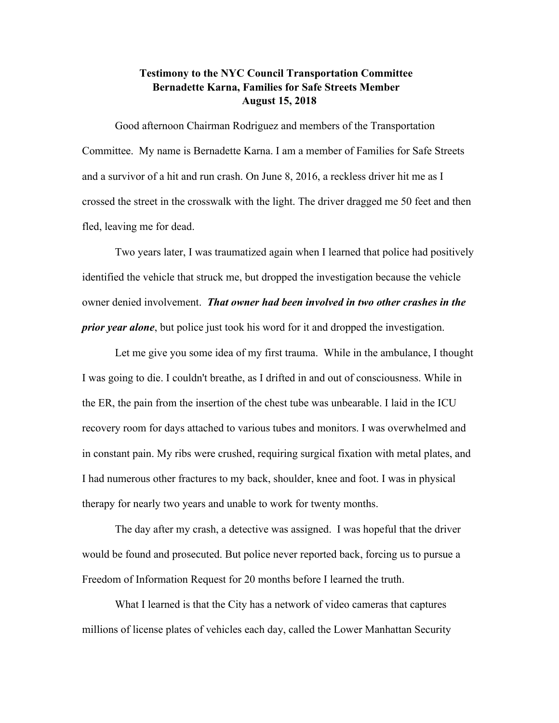## **Testimony to the NYC Council Transportation Committee Bernadette Karna, Families for Safe Streets Member August 15, 2018**

Good afternoon Chairman Rodriguez and members of the Transportation Committee. My name is Bernadette Karna. I am a member of Families for Safe Streets and a survivor of a hit and run crash. On June 8, 2016, a reckless driver hit me as I crossed the street in the crosswalk with the light. The driver dragged me 50 feet and then fled, leaving me for dead.

Two years later, I was traumatized again when I learned that police had positively identified the vehicle that struck me, but dropped the investigation because the vehicle owner denied involvement. *That owner had been involved in two other crashes in the prior year alone*, but police just took his word for it and dropped the investigation.

Let me give you some idea of my first trauma. While in the ambulance, I thought I was going to die. I couldn't breathe, as I drifted in and out of consciousness. While in the ER, the pain from the insertion of the chest tube was unbearable. I laid in the ICU recovery room for days attached to various tubes and monitors. I was overwhelmed and in constant pain. My ribs were crushed, requiring surgical fixation with metal plates, and I had numerous other fractures to my back, shoulder, knee and foot. I was in physical therapy for nearly two years and unable to work for twenty months.

The day after my crash, a detective was assigned. I was hopeful that the driver would be found and prosecuted. But police never reported back, forcing us to pursue a Freedom of Information Request for 20 months before I learned the truth.

What I learned is that the City has a network of video cameras that captures millions of license plates of vehicles each day, called the Lower Manhattan Security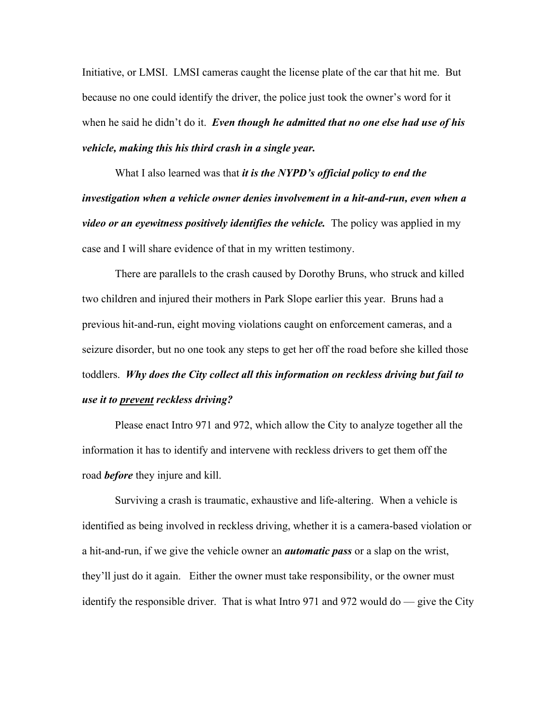Initiative, or LMSI. LMSI cameras caught the license plate of the car that hit me. But because no one could identify the driver, the police just took the owner's word for it when he said he didn't do it. *Even though he admitted that no one else had use of his vehicle, making this his third crash in a single year.*

What I also learned was that *it is the NYPD's official policy to end the investigation when a vehicle owner denies involvement in a hit-and-run, even when a video or an eyewitness positively identifies the vehicle.* The policy was applied in my case and I will share evidence of that in my written testimony.

There are parallels to the crash caused by Dorothy Bruns, who struck and killed two children and injured their mothers in Park Slope earlier this year. Bruns had a previous hit-and-run, eight moving violations caught on enforcement cameras, and a seizure disorder, but no one took any steps to get her off the road before she killed those toddlers. *Why does the City collect all this information on reckless driving but fail to use it to prevent reckless driving?*

Please enact Intro 971 and 972, which allow the City to analyze together all the information it has to identify and intervene with reckless drivers to get them off the road *before* they injure and kill.

Surviving a crash is traumatic, exhaustive and life-altering. When a vehicle is identified as being involved in reckless driving, whether it is a camera-based violation or a hit-and-run, if we give the vehicle owner an *automatic pass* or a slap on the wrist, they'll just do it again. Either the owner must take responsibility, or the owner must identify the responsible driver. That is what Intro 971 and 972 would do — give the City